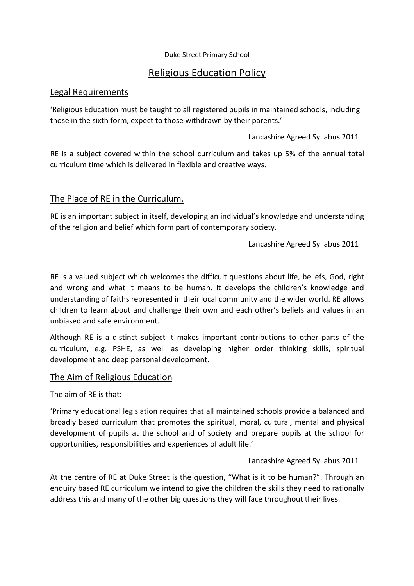#### Duke Street Primary School

# Religious Education Policy

### Legal Requirements

'Religious Education must be taught to all registered pupils in maintained schools, including those in the sixth form, expect to those withdrawn by their parents.'

Lancashire Agreed Syllabus 2011

RE is a subject covered within the school curriculum and takes up 5% of the annual total curriculum time which is delivered in flexible and creative ways.

# The Place of RE in the Curriculum.

RE is an important subject in itself, developing an individual's knowledge and understanding of the religion and belief which form part of contemporary society.

Lancashire Agreed Syllabus 2011

RE is a valued subject which welcomes the difficult questions about life, beliefs, God, right and wrong and what it means to be human. It develops the children's knowledge and understanding of faiths represented in their local community and the wider world. RE allows children to learn about and challenge their own and each other's beliefs and values in an unbiased and safe environment.

Although RE is a distinct subject it makes important contributions to other parts of the curriculum, e.g. PSHE, as well as developing higher order thinking skills, spiritual development and deep personal development.

# The Aim of Religious Education

The aim of RE is that:

'Primary educational legislation requires that all maintained schools provide a balanced and broadly based curriculum that promotes the spiritual, moral, cultural, mental and physical development of pupils at the school and of society and prepare pupils at the school for opportunities, responsibilities and experiences of adult life.'

### Lancashire Agreed Syllabus 2011

At the centre of RE at Duke Street is the question, "What is it to be human?". Through an enquiry based RE curriculum we intend to give the children the skills they need to rationally address this and many of the other big questions they will face throughout their lives.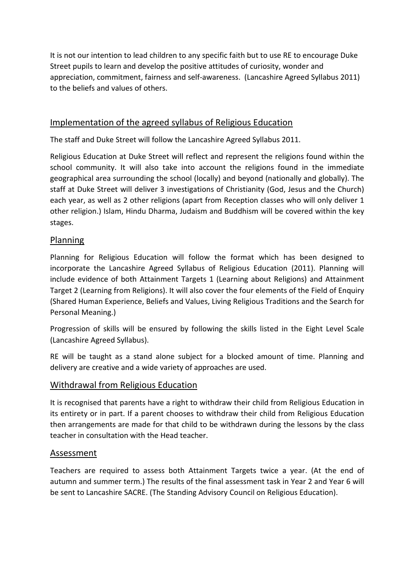It is not our intention to lead children to any specific faith but to use RE to encourage Duke Street pupils to learn and develop the positive attitudes of curiosity, wonder and appreciation, commitment, fairness and self-awareness. (Lancashire Agreed Syllabus 2011) to the beliefs and values of others.

# Implementation of the agreed syllabus of Religious Education

The staff and Duke Street will follow the Lancashire Agreed Syllabus 2011.

Religious Education at Duke Street will reflect and represent the religions found within the school community. It will also take into account the religions found in the immediate geographical area surrounding the school (locally) and beyond (nationally and globally). The staff at Duke Street will deliver 3 investigations of Christianity (God, Jesus and the Church) each year, as well as 2 other religions (apart from Reception classes who will only deliver 1 other religion.) Islam, Hindu Dharma, Judaism and Buddhism will be covered within the key stages.

# Planning

Planning for Religious Education will follow the format which has been designed to incorporate the Lancashire Agreed Syllabus of Religious Education (2011). Planning will include evidence of both Attainment Targets 1 (Learning about Religions) and Attainment Target 2 (Learning from Religions). It will also cover the four elements of the Field of Enquiry (Shared Human Experience, Beliefs and Values, Living Religious Traditions and the Search for Personal Meaning.)

Progression of skills will be ensured by following the skills listed in the Eight Level Scale (Lancashire Agreed Syllabus).

RE will be taught as a stand alone subject for a blocked amount of time. Planning and delivery are creative and a wide variety of approaches are used.

# Withdrawal from Religious Education

It is recognised that parents have a right to withdraw their child from Religious Education in its entirety or in part. If a parent chooses to withdraw their child from Religious Education then arrangements are made for that child to be withdrawn during the lessons by the class teacher in consultation with the Head teacher.

### Assessment

Teachers are required to assess both Attainment Targets twice a year. (At the end of autumn and summer term.) The results of the final assessment task in Year 2 and Year 6 will be sent to Lancashire SACRE. (The Standing Advisory Council on Religious Education).